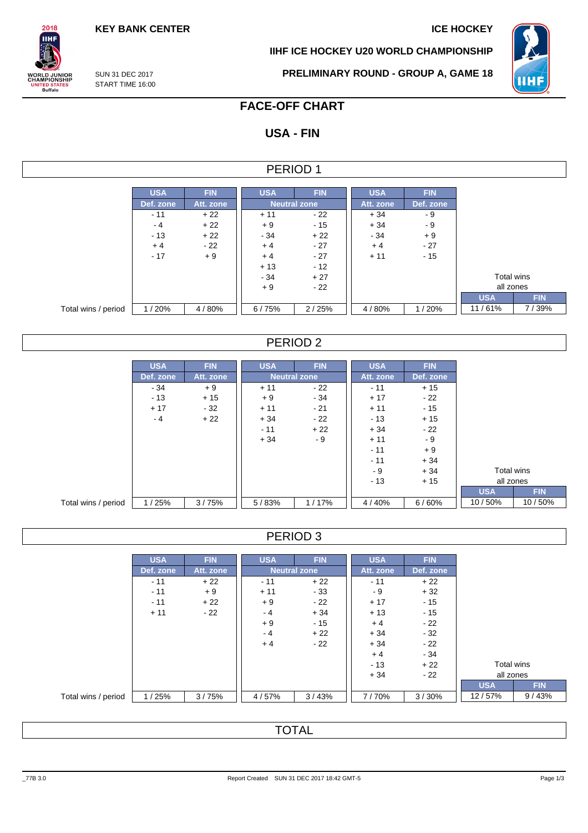**KEY BANK CENTER ICE HOCKEY** 

**IIHF ICE HOCKEY U20 WORLD CHAMPIONSHIP**



SUN 31 DEC 2017 START TIME 16:00

 $2018$ **IIHF** 

**ORLD JUNIOR**<br>HAMPIONSHIP

UNITED STATES<br>Buffalo

**PRELIMINARY ROUND - GROUP A, GAME 18**

# **FACE-OFF CHART**

# **USA - FIN**

### PERIOD 1

|                     | <b>USA</b> | <b>FIN</b> | <b>USA</b> | <b>FIN</b>   | <b>USA</b> | <b>FIN</b> |            |            |
|---------------------|------------|------------|------------|--------------|------------|------------|------------|------------|
|                     | Def. zone  | Att. zone  |            | Neutral zone |            | Def. zone  |            |            |
|                     | $-11$      | $+22$      | $+11$      | - 22         | $+34$      | - 9        |            |            |
|                     | - 4        | $+22$      | $+9$       | $-15$        | $+34$      | - 9        |            |            |
|                     | $-13$      | $+22$      | $-34$      | $+22$        | $-34$      | $+9$       |            |            |
|                     | $+4$       | $-22$      | $+4$       | $-27$        | $+4$       | $-27$      |            |            |
|                     | $-17$      | $+9$       | $+4$       | $-27$        | $+11$      | $-15$      |            |            |
|                     |            |            | $+13$      | $-12$        |            |            |            |            |
|                     |            |            | $-34$      | $+27$        |            |            | Total wins |            |
|                     |            |            | $+9$       | $-22$        |            |            | all zones  |            |
|                     |            |            |            |              |            |            | <b>USA</b> | <b>FIN</b> |
| Total wins / period | /20%       | 4/80%      | 6/75%      | 2/25%        | 4/80%      | 1/20%      | 11/61%     | 7/39%      |

### PERIOD 2

|                     | <b>USA</b> | <b>FIN</b> | <b>USA</b> | <b>FIN</b>          | <b>USA</b> | <b>FIN</b> |            |            |
|---------------------|------------|------------|------------|---------------------|------------|------------|------------|------------|
|                     | Def. zone  | Att. zone  |            | <b>Neutral zone</b> | Att. zone  | Def. zone  |            |            |
|                     | $-34$      | $+9$       | $+11$      | $-22$               | $-11$      | $+15$      |            |            |
|                     | $-13$      | $+15$      | $+9$       | $-34$               | $+17$      | $-22$      |            |            |
|                     | $+17$      | $-32$      | $+11$      | $-21$               | $+11$      | $-15$      |            |            |
|                     | - 4        | $+22$      | $+34$      | $-22$               | $-13$      | $+15$      |            |            |
|                     |            |            | $-11$      | $+22$               | $+34$      | $-22$      |            |            |
|                     |            |            | $+34$      | $-9$                | $+11$      | $-9$       |            |            |
|                     |            |            |            |                     | $-11$      | $+9$       |            |            |
|                     |            |            |            |                     | $-11$      | $+34$      |            |            |
|                     |            |            |            |                     | - 9        | $+34$      | Total wins |            |
|                     |            |            |            |                     | $-13$      | $+15$      | all zones  |            |
|                     |            |            |            |                     |            |            | <b>USA</b> | <b>FIN</b> |
| Total wins / period | 1/25%      | 3/75%      | 5/83%      | 1/17%               | 4/40%      | 6/60%      | 10/50%     | 10/50%     |

## PERIOD 3

|                     | <b>USA</b> | <b>FIN</b> | <b>USA</b> | <b>FIN</b>          | <b>USA</b> | <b>FIN</b> |            |            |
|---------------------|------------|------------|------------|---------------------|------------|------------|------------|------------|
|                     | Def. zone  | Att. zone  |            | <b>Neutral zone</b> | Att. zone  | Def. zone  |            |            |
|                     | $-11$      | $+22$      | $-11$      | $+22$               | $-11$      | $+22$      |            |            |
|                     | $-11$      | $+9$       | $+11$      | $-33$               | - 9        | $+32$      |            |            |
|                     | $-11$      | $+22$      | $+9$       | $-22$               | $+17$      | $-15$      |            |            |
|                     | $+11$      | - 22       | - 4        | $+34$               | $+13$      | $-15$      |            |            |
|                     |            |            | $+9$       | $-15$               | $+4$       | $-22$      |            |            |
|                     |            |            | $-4$       | $+22$               | $+34$      | $-32$      |            |            |
|                     |            |            | $+4$       | $-22$               | $+34$      | $-22$      |            |            |
|                     |            |            |            |                     | $+4$       | $-34$      |            |            |
|                     |            |            |            |                     | $-13$      | $+22$      | Total wins |            |
|                     |            |            |            |                     | $+34$      | $-22$      | all zones  |            |
|                     |            |            |            |                     |            |            | <b>USA</b> | <b>FIN</b> |
| Total wins / period | 1/25%      | 3/75%      | 4/57%      | 3/43%               | 7/70%      | 3/30%      | 12/57%     | 9/43%      |

TOTAL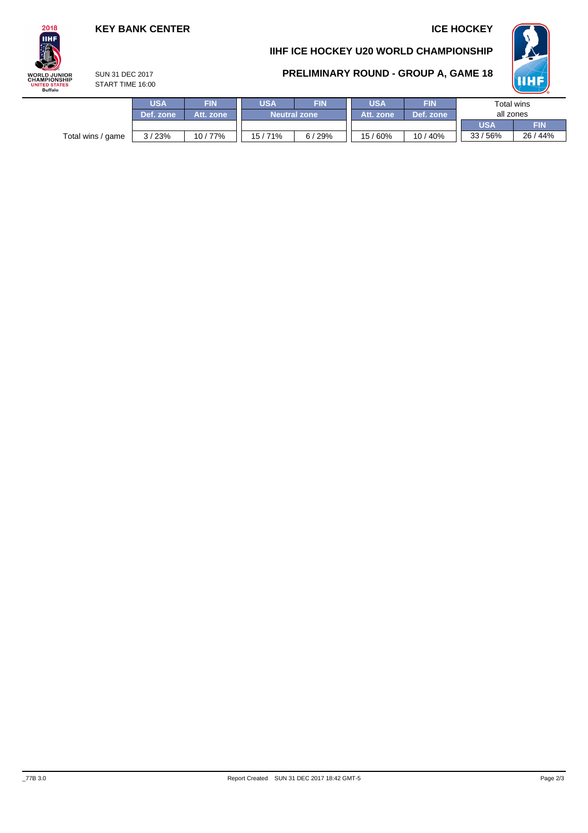## **KEY BANK CENTER ICE HOCKEY**





### **PRELIMINARY ROUND - GROUP A, GAME 18**



SUN 31 DEC 2017 START TIME 16:00

| FIN                              | <b>USA</b><br><b>FIN</b> |       | USA                 | <b>FIN</b> |            |            |  |
|----------------------------------|--------------------------|-------|---------------------|------------|------------|------------|--|
| Att. zone                        |                          |       | Att. zone           | Def. zone  | all zones  |            |  |
|                                  |                          |       |                     |            | <b>USA</b> | <b>FIN</b> |  |
| 10/77%                           | '71%<br>15/              | 6/29% | 15/60%              | 10/40%     | 33/56%     | 26 / 44%   |  |
| <b>USA</b><br>Def. zone<br>3/23% |                          |       | <b>Neutral zone</b> |            |            | Total wins |  |